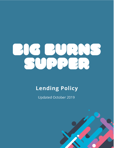

# **Lending Policy**

**Updated October 2019** 

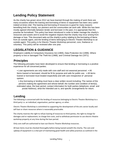## **Lending Policy Statement**

As the charity has grown since 2012 we have learned through the making of work there are many occasions where the loaning and borrowing of items or equipment has been very useful indeed at times vital. The loaning and borrowing of resources is good for many reasons benefiting both the charity, our partners and the communities we work with. While this has been mostly agreed informally between lender and borrower in the past, it is appropriate that this practise be formalised. This policy has been introduced in order to better manage the charity's resources and assets and to avoid the negative impacts that the charity may incur arising from damage or loss. This document sets out the charity's policy relating to the borrowing of items from an outside agent, and the lending of items belonging to Electric Theatre Workshop to an outside agent. This policy is for Electric Theatre Workshop personnel, core, freelance or voluntary. This policy will be reviewed after one year.

### **LEGISLATION & GUIDANCE**

Employers Liability & Compulsory Insurance Act (1969), Data Protection Act (1998). Where property is lost or damaged The Theft Act (1968), and Criminal Damage Act (1971).

## **Principles**

The following principles have been developed to ensure that lending or borrowing is a positive experience for all concerned parties.

• Loan agreements are only made with core staff and not seasonal personnel. • All Items loaned or borrowed, should be fit for purpose and safe for public use. • All items loaned or borrowed must treated respectfully and with care irrespective of personal opinion.

• Any borrowing or lending must have a clear written record including; The names of the persons making the agreement and whose behalf, the number and condition of item(s), estimated value, the loan period, contact information for both parties (telephone, email and postal Address), what the intended use is, and specific arrangements for return.

## **Lending**

The following is concerned with the lending of resources belonging to Electric Theatre Workshop to a third party i.e. an individual, organisation, partner agency, or other.

Electric Theatre Workshop is committed to supporting the development of the arts sector locally and will loan or share resources where is reasonably practicable.

The charity reserves the right to refuse loaning of resources to third parties, the right to charge for damages and or replacement, to charge hire costs, and to withdraw permission to use electric theatre workshop property at any time during the loan period.

Only core staff are authorised to loan out Electric Theatre Workshop resources.

All loan items must be checked thoroughly before being loaned outwith the charity. The care and upkeep of equipment is a vital part of maintaining good health and safety practices as outlined in the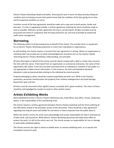Electric Theatre Workshop Health and Safety. Assessing the item in terms of safety and describing the condition prior to loaning ensures both parties know fully the condition of the item going out on loan and the expected condition on return.

A written record of the loan agreement should be made and a copy sent to both parties, lender and borrower. If a loan is negotiated verbally, a written agreement outlining the terms should be made as soon as possible. Without a written agreement the loan is not permitted. All data recorded must be processed and stored in compliance with the data protection act, and only accessible by authorised staff/ senior management.

#### **Borrowing**

The following relates to all borrowing done on behalf of the charity. This includes items or equipment for an Electric Theatre Workshop production or event from individuals or organisations.

As with lending, the charity requires a record of the loan agreement in writing. Where an organisation or individual does not provide one an email acknowledgement should be sent on the charity's behalf reiterating Electric Theatre Workshops understanding, see principles.

All items Borrowed on behalf of the charity must be clearly marked with a label or sticker that connects the item with the owner. If borrowed from an organisation or commercial enterprise, the name of that organisation will suffice. If the item has been borrowed from an individual or member of the public it is not appropriate to label contact information. In this instance, the item and individual should be allocated a code and personal data relating to the individual be stored securely.

Property belonging to others should be treated respectfully and with care. While in the Charity's possession, personnel should protect the property from reckless endangerment and avoid damage beyond fair wear and tear.

All items must be returned to their rightful owners, promptly and in good condition. The return of items should be acknowledged by receipt via email or other written notice.

### **Artists Exhibiting Works**

Work exhibited by artists in Electric Theatre Workshop sites; head offices, box office, venues, production spaces, is the responsibility of the contributing artist.

The charity requires a written agreement between Electric theatre workshop and the Artist outlining all the information stated in the principles section of this document. There should be a clear agreement regarding how long the piece will exhibit for and where to direct enquiries from the public about it.

Within the written record, the artist must acknowledge and accept responsibility for load in and load out of their work, and insurances. While Electric Theatre Workshop personnel will make every effort to protect the work, it is left at the artists own risk. The charity accepts no responsibility for loss or damage to work while exhibited publicly.

The Charity reserves the right to refuse to exhibit work, to remove exhibiting work, or to request the immediate removal of work.